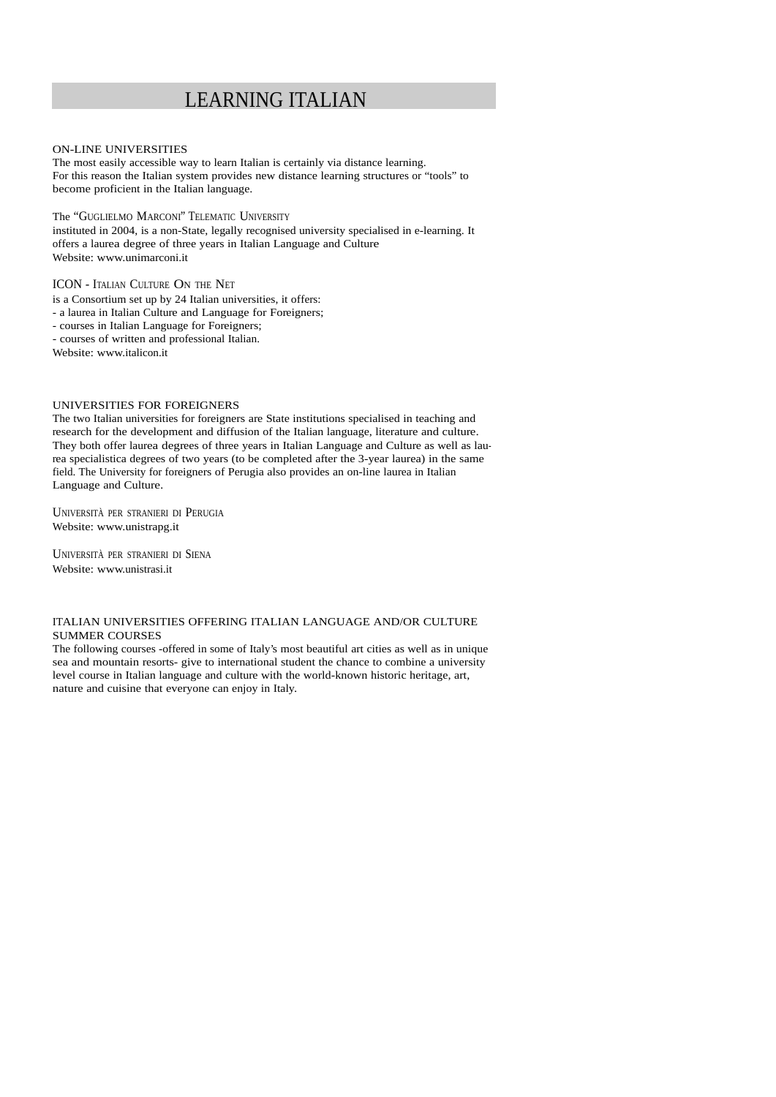# LEARNING ITALIAN

### ON-LINE UNIVERSITIES

The most easily accessible way to learn Italian is certainly via distance learning. For this reason the Italian system provides new distance learning structures or "tools" to become proficient in the Italian language.

The "GUGLIELMO MARCONI" TELEMATIC UNIVERSITY

instituted in 2004, is a non-State, legally recognised university specialised in e-learning. It offers a laurea degree of three years in Italian Language and Culture Website: www.unimarconi.it

# ICON - ITALIAN CULTURE ON THE NET

is a Consortium set up by 24 Italian universities, it offers:

- a laurea in Italian Culture and Language for Foreigners;

- courses in Italian Language for Foreigners;

- courses of written and professional Italian.

Website: www.italicon.it

## UNIVERSITIES FOR FOREIGNERS

The two Italian universities for foreigners are State institutions specialised in teaching and research for the development and diffusion of the Italian language, literature and culture. They both offer laurea degrees of three years in Italian Language and Culture as well as laurea specialistica degrees of two years (to be completed after the 3-year laurea) in the same field. The University for foreigners of Perugia also provides an on-line laurea in Italian Language and Culture.

UNIVERSITÀ PER STRANIERI DI PERUGIA Website: www.unistrapg.it

UNIVERSITÀ PER STRANIERI DI SIENA Website: www.unistrasi.it

#### ITALIAN UNIVERSITIES OFFERING ITALIAN LANGUAGE AND/OR CULTURE SUMMER COURSES

The following courses -offered in some of Italy's most beautiful art cities as well as in unique sea and mountain resorts- give to international student the chance to combine a university level course in Italian language and culture with the world-known historic heritage, art, nature and cuisine that everyone can enjoy in Italy.